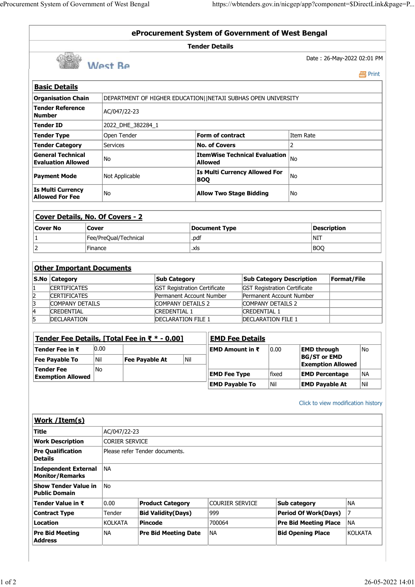| eProcurement System of Government of West Bengal<br><b>Basic Details</b><br><b>Organisation Chain</b><br>Tender Reference<br>Number<br>Tender ID<br>Tender Type<br>Tender Category<br><b>General Technical</b><br><b>Evaluation Allowed</b><br>Payment Mode<br>Is Multi Currency<br><b>Allowed For Fee</b><br>Cover Details, No. Of Covers - 2<br>Cover No<br>Cover<br>$\overline{2}$<br>Finance<br><b>Other Important Documents</b><br>S.No Category<br><b>CERTIFICATES</b><br>$\frac{2}{3}$<br><b>CERTIFICATES</b><br>COMPANY DETAILS<br>$\overline{4}$<br><b>CREDENTIAL</b><br>$\overline{5}$<br>DECLARATION<br>Tender Fee Details, [Total Fee in ₹ * - 0.00]<br> 0.00 <br>Tender Fee in ₹<br><b>Fee Payable To</b><br>Nil<br>Tender Fee<br>No | West Be<br>AC/047/22-23<br>2022_DHE_382284_1<br>Open Tender<br>Services<br>No<br>Not Applicable<br>No | eProcurement System of Government of West Bengal<br>DEPARTMENT OF HIGHER EDUCATION  NETAJI SUBHAS OPEN UNIVERSITY | <b>Tender Details</b><br>Form of contract<br><b>No. of Covers</b><br><b>ItemWise Technical Evaluation</b> $_{\text{No}}$<br><b>Allowed</b> |                                      |                   | https://wbtenders.gov.in/nicgep/app?component=\$DirectLink&page=P<br>Date: 26-May-2022 02:01 PM |             | <b>昌</b> Print   |
|---------------------------------------------------------------------------------------------------------------------------------------------------------------------------------------------------------------------------------------------------------------------------------------------------------------------------------------------------------------------------------------------------------------------------------------------------------------------------------------------------------------------------------------------------------------------------------------------------------------------------------------------------------------------------------------------------------------------------------------------------|-------------------------------------------------------------------------------------------------------|-------------------------------------------------------------------------------------------------------------------|--------------------------------------------------------------------------------------------------------------------------------------------|--------------------------------------|-------------------|-------------------------------------------------------------------------------------------------|-------------|------------------|
|                                                                                                                                                                                                                                                                                                                                                                                                                                                                                                                                                                                                                                                                                                                                                   |                                                                                                       |                                                                                                                   |                                                                                                                                            |                                      |                   |                                                                                                 |             |                  |
|                                                                                                                                                                                                                                                                                                                                                                                                                                                                                                                                                                                                                                                                                                                                                   |                                                                                                       |                                                                                                                   |                                                                                                                                            |                                      |                   |                                                                                                 |             |                  |
|                                                                                                                                                                                                                                                                                                                                                                                                                                                                                                                                                                                                                                                                                                                                                   |                                                                                                       |                                                                                                                   |                                                                                                                                            |                                      |                   |                                                                                                 |             |                  |
|                                                                                                                                                                                                                                                                                                                                                                                                                                                                                                                                                                                                                                                                                                                                                   |                                                                                                       |                                                                                                                   |                                                                                                                                            |                                      |                   |                                                                                                 |             |                  |
|                                                                                                                                                                                                                                                                                                                                                                                                                                                                                                                                                                                                                                                                                                                                                   |                                                                                                       |                                                                                                                   |                                                                                                                                            |                                      |                   |                                                                                                 |             |                  |
|                                                                                                                                                                                                                                                                                                                                                                                                                                                                                                                                                                                                                                                                                                                                                   |                                                                                                       |                                                                                                                   |                                                                                                                                            |                                      |                   |                                                                                                 |             |                  |
|                                                                                                                                                                                                                                                                                                                                                                                                                                                                                                                                                                                                                                                                                                                                                   |                                                                                                       |                                                                                                                   |                                                                                                                                            |                                      |                   |                                                                                                 |             |                  |
|                                                                                                                                                                                                                                                                                                                                                                                                                                                                                                                                                                                                                                                                                                                                                   |                                                                                                       |                                                                                                                   |                                                                                                                                            |                                      |                   |                                                                                                 |             |                  |
|                                                                                                                                                                                                                                                                                                                                                                                                                                                                                                                                                                                                                                                                                                                                                   |                                                                                                       |                                                                                                                   |                                                                                                                                            |                                      |                   |                                                                                                 |             |                  |
|                                                                                                                                                                                                                                                                                                                                                                                                                                                                                                                                                                                                                                                                                                                                                   |                                                                                                       |                                                                                                                   |                                                                                                                                            |                                      |                   |                                                                                                 |             |                  |
|                                                                                                                                                                                                                                                                                                                                                                                                                                                                                                                                                                                                                                                                                                                                                   |                                                                                                       |                                                                                                                   |                                                                                                                                            |                                      |                   |                                                                                                 |             |                  |
|                                                                                                                                                                                                                                                                                                                                                                                                                                                                                                                                                                                                                                                                                                                                                   |                                                                                                       |                                                                                                                   |                                                                                                                                            |                                      |                   |                                                                                                 |             |                  |
|                                                                                                                                                                                                                                                                                                                                                                                                                                                                                                                                                                                                                                                                                                                                                   |                                                                                                       |                                                                                                                   |                                                                                                                                            |                                      |                   |                                                                                                 |             |                  |
|                                                                                                                                                                                                                                                                                                                                                                                                                                                                                                                                                                                                                                                                                                                                                   |                                                                                                       |                                                                                                                   |                                                                                                                                            |                                      |                   |                                                                                                 |             |                  |
|                                                                                                                                                                                                                                                                                                                                                                                                                                                                                                                                                                                                                                                                                                                                                   |                                                                                                       |                                                                                                                   |                                                                                                                                            |                                      |                   |                                                                                                 |             |                  |
|                                                                                                                                                                                                                                                                                                                                                                                                                                                                                                                                                                                                                                                                                                                                                   |                                                                                                       |                                                                                                                   |                                                                                                                                            |                                      |                   |                                                                                                 |             |                  |
|                                                                                                                                                                                                                                                                                                                                                                                                                                                                                                                                                                                                                                                                                                                                                   |                                                                                                       |                                                                                                                   |                                                                                                                                            |                                      |                   |                                                                                                 |             |                  |
|                                                                                                                                                                                                                                                                                                                                                                                                                                                                                                                                                                                                                                                                                                                                                   |                                                                                                       |                                                                                                                   |                                                                                                                                            |                                      |                   |                                                                                                 |             |                  |
|                                                                                                                                                                                                                                                                                                                                                                                                                                                                                                                                                                                                                                                                                                                                                   |                                                                                                       |                                                                                                                   |                                                                                                                                            |                                      |                   |                                                                                                 |             |                  |
|                                                                                                                                                                                                                                                                                                                                                                                                                                                                                                                                                                                                                                                                                                                                                   |                                                                                                       |                                                                                                                   |                                                                                                                                            |                                      |                   | Item Rate                                                                                       |             |                  |
|                                                                                                                                                                                                                                                                                                                                                                                                                                                                                                                                                                                                                                                                                                                                                   |                                                                                                       |                                                                                                                   |                                                                                                                                            |                                      |                   | 2                                                                                               |             |                  |
|                                                                                                                                                                                                                                                                                                                                                                                                                                                                                                                                                                                                                                                                                                                                                   |                                                                                                       |                                                                                                                   |                                                                                                                                            |                                      |                   |                                                                                                 |             |                  |
|                                                                                                                                                                                                                                                                                                                                                                                                                                                                                                                                                                                                                                                                                                                                                   |                                                                                                       |                                                                                                                   |                                                                                                                                            | <b>Is Multi Currency Allowed For</b> |                   |                                                                                                 |             |                  |
|                                                                                                                                                                                                                                                                                                                                                                                                                                                                                                                                                                                                                                                                                                                                                   |                                                                                                       |                                                                                                                   | <b>BOQ</b>                                                                                                                                 |                                      |                   | No                                                                                              |             |                  |
|                                                                                                                                                                                                                                                                                                                                                                                                                                                                                                                                                                                                                                                                                                                                                   |                                                                                                       |                                                                                                                   |                                                                                                                                            | <b>Allow Two Stage Bidding</b>       |                   | No                                                                                              |             |                  |
|                                                                                                                                                                                                                                                                                                                                                                                                                                                                                                                                                                                                                                                                                                                                                   |                                                                                                       |                                                                                                                   |                                                                                                                                            |                                      |                   |                                                                                                 |             |                  |
|                                                                                                                                                                                                                                                                                                                                                                                                                                                                                                                                                                                                                                                                                                                                                   |                                                                                                       |                                                                                                                   |                                                                                                                                            |                                      |                   |                                                                                                 |             |                  |
|                                                                                                                                                                                                                                                                                                                                                                                                                                                                                                                                                                                                                                                                                                                                                   |                                                                                                       |                                                                                                                   |                                                                                                                                            |                                      |                   |                                                                                                 |             |                  |
|                                                                                                                                                                                                                                                                                                                                                                                                                                                                                                                                                                                                                                                                                                                                                   | Fee/PreQual/Technical                                                                                 |                                                                                                                   | <b>Document Type</b><br>.pdf                                                                                                               |                                      |                   | <b>Description</b><br>NIT                                                                       |             |                  |
|                                                                                                                                                                                                                                                                                                                                                                                                                                                                                                                                                                                                                                                                                                                                                   |                                                                                                       |                                                                                                                   | .xls                                                                                                                                       |                                      |                   | <b>BOQ</b>                                                                                      |             |                  |
|                                                                                                                                                                                                                                                                                                                                                                                                                                                                                                                                                                                                                                                                                                                                                   |                                                                                                       |                                                                                                                   |                                                                                                                                            |                                      |                   |                                                                                                 |             |                  |
|                                                                                                                                                                                                                                                                                                                                                                                                                                                                                                                                                                                                                                                                                                                                                   |                                                                                                       |                                                                                                                   |                                                                                                                                            |                                      |                   |                                                                                                 |             |                  |
|                                                                                                                                                                                                                                                                                                                                                                                                                                                                                                                                                                                                                                                                                                                                                   |                                                                                                       | <b>Sub Category</b>                                                                                               |                                                                                                                                            |                                      |                   | <b>Sub Category Description</b>                                                                 | Format/File |                  |
|                                                                                                                                                                                                                                                                                                                                                                                                                                                                                                                                                                                                                                                                                                                                                   |                                                                                                       | <b>GST Registration Certificate</b>                                                                               |                                                                                                                                            |                                      |                   | <b>GST Registration Certificate</b>                                                             |             |                  |
|                                                                                                                                                                                                                                                                                                                                                                                                                                                                                                                                                                                                                                                                                                                                                   |                                                                                                       | Permanent Account Number                                                                                          |                                                                                                                                            |                                      |                   | Permanent Account Number                                                                        |             |                  |
|                                                                                                                                                                                                                                                                                                                                                                                                                                                                                                                                                                                                                                                                                                                                                   |                                                                                                       | COMPANY DETAILS 2<br><b>CREDENTIAL 1</b>                                                                          |                                                                                                                                            | <b>CREDENTIAL 1</b>                  | COMPANY DETAILS 2 |                                                                                                 |             |                  |
|                                                                                                                                                                                                                                                                                                                                                                                                                                                                                                                                                                                                                                                                                                                                                   |                                                                                                       | <b>DECLARATION FILE 1</b>                                                                                         |                                                                                                                                            | <b>DECLARATION FILE 1</b>            |                   |                                                                                                 |             |                  |
|                                                                                                                                                                                                                                                                                                                                                                                                                                                                                                                                                                                                                                                                                                                                                   |                                                                                                       |                                                                                                                   |                                                                                                                                            |                                      |                   |                                                                                                 |             |                  |
|                                                                                                                                                                                                                                                                                                                                                                                                                                                                                                                                                                                                                                                                                                                                                   |                                                                                                       |                                                                                                                   |                                                                                                                                            | <b>EMD Fee Details</b>               |                   |                                                                                                 |             |                  |
|                                                                                                                                                                                                                                                                                                                                                                                                                                                                                                                                                                                                                                                                                                                                                   |                                                                                                       |                                                                                                                   |                                                                                                                                            | EMD Amount in ₹                      | 0.00              | <b>EMD through</b>                                                                              |             | No               |
|                                                                                                                                                                                                                                                                                                                                                                                                                                                                                                                                                                                                                                                                                                                                                   |                                                                                                       | $\vert$ Nil<br>Fee Payable At                                                                                     |                                                                                                                                            |                                      |                   | <b>BG/ST or EMD</b><br><b>Exemption Allowed</b>                                                 |             |                  |
| <b>Exemption Allowed</b>                                                                                                                                                                                                                                                                                                                                                                                                                                                                                                                                                                                                                                                                                                                          |                                                                                                       |                                                                                                                   |                                                                                                                                            | <b>EMD Fee Type</b>                  | fixed             | <b>EMD Percentage</b>                                                                           |             | NA               |
|                                                                                                                                                                                                                                                                                                                                                                                                                                                                                                                                                                                                                                                                                                                                                   |                                                                                                       |                                                                                                                   |                                                                                                                                            | <b>EMD Payable To</b>                | $\vert$ Nil       | <b>EMD Payable At</b>                                                                           |             | $\vert$ Nil      |
|                                                                                                                                                                                                                                                                                                                                                                                                                                                                                                                                                                                                                                                                                                                                                   |                                                                                                       |                                                                                                                   |                                                                                                                                            |                                      |                   |                                                                                                 |             |                  |
|                                                                                                                                                                                                                                                                                                                                                                                                                                                                                                                                                                                                                                                                                                                                                   |                                                                                                       |                                                                                                                   |                                                                                                                                            |                                      |                   | Click to view modification history                                                              |             |                  |
| <b>Work / Item(s)</b>                                                                                                                                                                                                                                                                                                                                                                                                                                                                                                                                                                                                                                                                                                                             |                                                                                                       |                                                                                                                   |                                                                                                                                            |                                      |                   |                                                                                                 |             |                  |
| Title                                                                                                                                                                                                                                                                                                                                                                                                                                                                                                                                                                                                                                                                                                                                             | AC/047/22-23                                                                                          |                                                                                                                   |                                                                                                                                            |                                      |                   |                                                                                                 |             |                  |
| <b>Work Description</b>                                                                                                                                                                                                                                                                                                                                                                                                                                                                                                                                                                                                                                                                                                                           | CORIER SERVICE                                                                                        |                                                                                                                   |                                                                                                                                            |                                      |                   |                                                                                                 |             |                  |
| $ \mathsf{Pre} \, \mathsf{Qualification} $                                                                                                                                                                                                                                                                                                                                                                                                                                                                                                                                                                                                                                                                                                        |                                                                                                       | Please refer Tender documents.                                                                                    |                                                                                                                                            |                                      |                   |                                                                                                 |             |                  |
| <b>Details</b>                                                                                                                                                                                                                                                                                                                                                                                                                                                                                                                                                                                                                                                                                                                                    |                                                                                                       |                                                                                                                   |                                                                                                                                            |                                      |                   |                                                                                                 |             |                  |
| Independent External NA                                                                                                                                                                                                                                                                                                                                                                                                                                                                                                                                                                                                                                                                                                                           |                                                                                                       |                                                                                                                   |                                                                                                                                            |                                      |                   |                                                                                                 |             |                  |
| <b>Monitor/Remarks</b><br>Show Tender Value in No                                                                                                                                                                                                                                                                                                                                                                                                                                                                                                                                                                                                                                                                                                 |                                                                                                       |                                                                                                                   |                                                                                                                                            |                                      |                   |                                                                                                 |             |                  |
| <b>Public Domain</b>                                                                                                                                                                                                                                                                                                                                                                                                                                                                                                                                                                                                                                                                                                                              |                                                                                                       |                                                                                                                   |                                                                                                                                            |                                      |                   |                                                                                                 |             |                  |
| Tender Value in ₹                                                                                                                                                                                                                                                                                                                                                                                                                                                                                                                                                                                                                                                                                                                                 | 0.00                                                                                                  | <b>Product Category</b>                                                                                           |                                                                                                                                            | COURIER SERVICE                      |                   | Sub category                                                                                    | NA          |                  |
| <b>Contract Type</b>                                                                                                                                                                                                                                                                                                                                                                                                                                                                                                                                                                                                                                                                                                                              | Tender                                                                                                | <b>Bid Validity(Days)</b>                                                                                         | 999                                                                                                                                        |                                      |                   | <b>Period Of Work(Days)</b>                                                                     | 7           |                  |
| Location                                                                                                                                                                                                                                                                                                                                                                                                                                                                                                                                                                                                                                                                                                                                          | KOLKATA                                                                                               | Pincode                                                                                                           | 700064                                                                                                                                     |                                      |                   | Pre Bid Meeting Place   NA                                                                      |             |                  |
| Pre Bid Meeting                                                                                                                                                                                                                                                                                                                                                                                                                                                                                                                                                                                                                                                                                                                                   | NA                                                                                                    | Pre Bid Meeting Date                                                                                              | NA                                                                                                                                         |                                      |                   | <b>Bid Opening Place</b>                                                                        |             | KOLKATA          |
| <b>Address</b>                                                                                                                                                                                                                                                                                                                                                                                                                                                                                                                                                                                                                                                                                                                                    |                                                                                                       |                                                                                                                   |                                                                                                                                            |                                      |                   |                                                                                                 |             |                  |
|                                                                                                                                                                                                                                                                                                                                                                                                                                                                                                                                                                                                                                                                                                                                                   |                                                                                                       |                                                                                                                   |                                                                                                                                            |                                      |                   |                                                                                                 |             |                  |
|                                                                                                                                                                                                                                                                                                                                                                                                                                                                                                                                                                                                                                                                                                                                                   |                                                                                                       |                                                                                                                   |                                                                                                                                            |                                      |                   |                                                                                                 |             |                  |
|                                                                                                                                                                                                                                                                                                                                                                                                                                                                                                                                                                                                                                                                                                                                                   |                                                                                                       |                                                                                                                   |                                                                                                                                            |                                      |                   |                                                                                                 |             |                  |
|                                                                                                                                                                                                                                                                                                                                                                                                                                                                                                                                                                                                                                                                                                                                                   |                                                                                                       |                                                                                                                   |                                                                                                                                            |                                      |                   |                                                                                                 |             | 26-05-2022 14:01 |
|                                                                                                                                                                                                                                                                                                                                                                                                                                                                                                                                                                                                                                                                                                                                                   |                                                                                                       |                                                                                                                   |                                                                                                                                            |                                      |                   |                                                                                                 |             |                  |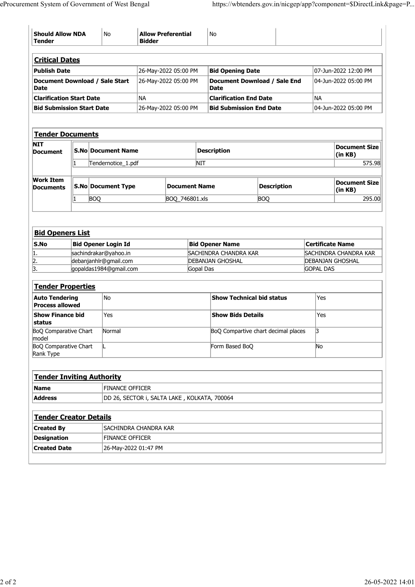|                                                                     | <b>Should Allow NDA</b> | No                                       | <b>Allow Preferential</b><br><b>Bidder</b> |                                              | No                                               |                                                                 |                         |                                              |
|---------------------------------------------------------------------|-------------------------|------------------------------------------|--------------------------------------------|----------------------------------------------|--------------------------------------------------|-----------------------------------------------------------------|-------------------------|----------------------------------------------|
| <b>Critical Dates</b>                                               |                         |                                          |                                            |                                              |                                                  |                                                                 |                         |                                              |
| <b>Publish Date</b><br>Document Download / Sale Start<br>Date       |                         |                                          |                                            | 26-May-2022 05:00 PM<br>26-May-2022 05:00 PM | <b>Bid Opening Date</b><br>Date                  | Document Download / Sale End                                    |                         | 07-Jun-2022 12:00 PM<br>04-Jun-2022 05:00 PM |
| <b>Clarification Start Date</b><br><b>Bid Submission Start Date</b> |                         |                                          | NA                                         | 26-May-2022 05:00 PM                         |                                                  | <b>Clarification End Date</b><br><b>Bid Submission End Date</b> | NA                      | 04-Jun-2022 05:00 PM                         |
|                                                                     |                         |                                          |                                            |                                              |                                                  |                                                                 |                         |                                              |
| Tender Documents<br><b>NIT</b>                                      |                         |                                          |                                            |                                              |                                                  |                                                                 |                         | <b>Document Size</b>                         |
| Document                                                            |                         | S.No Document Name<br>Tendernotice_1.pdf |                                            |                                              | <b>Description</b><br><b>NIT</b>                 |                                                                 |                         | (in KB)<br>575.98                            |
| <b>Work Item</b><br><b>Documents</b>                                | S.No Document Type      |                                          |                                            | <b>Document Name</b>                         |                                                  | <b>Description</b>                                              |                         | <b>Document Size</b>                         |
|                                                                     | <b>BOQ</b>              |                                          |                                            | BOQ_746801.xls                               |                                                  | <b>BOQ</b>                                                      |                         | (in KB)<br>295.00                            |
|                                                                     |                         |                                          |                                            |                                              |                                                  |                                                                 |                         |                                              |
| <b>Bid Openers List</b>                                             |                         |                                          |                                            |                                              |                                                  |                                                                 |                         |                                              |
| $\mathsf{S}.\mathsf{No}$                                            |                         | <b>Bid Opener Login Id</b>               |                                            |                                              | <b>Bid Opener Name</b>                           |                                                                 | <b>Certificate Name</b> |                                              |
| 1.<br>$\overline{2}$ .                                              | sachindrakar@yahoo.in   | debanjanhlr@gmail.com                    |                                            |                                              | SACHINDRA CHANDRA KAR<br><b>DEBANJAN GHOSHAL</b> |                                                                 | <b>DEBANJAN GHOSHAL</b> | <b>SACHINDRA CHANDRA KAR</b>                 |
| $\overline{3}$                                                      |                         | gopaldas1984@gmail.com                   |                                            |                                              | Gopal Das                                        |                                                                 | <b>GOPAL DAS</b>        |                                              |
| <b>Tender Properties</b>                                            |                         |                                          |                                            |                                              |                                                  |                                                                 |                         |                                              |
| <b>Auto Tendering</b><br><b>Process allowed</b>                     |                         | No                                       |                                            |                                              |                                                  | Show Technical bid status                                       | $ {\sf Yes} $           |                                              |
| Show Finance bid<br>status                                          |                         | Yes                                      |                                            |                                              | <b>Show Bids Details</b>                         |                                                                 | Yes                     |                                              |
| BoQ Comparative Chart<br>model                                      |                         | Normal                                   |                                            |                                              |                                                  | BoQ Compartive chart decimal places                             | 3                       |                                              |
| <b>BoQ Comparative Chart</b><br>Rank Type                           |                         |                                          |                                            |                                              | Form Based BoQ                                   |                                                                 | No                      |                                              |
| <b>Tender Inviting Authority</b>                                    |                         |                                          |                                            |                                              |                                                  |                                                                 |                         |                                              |
| Name                                                                |                         | <b>FINANCE OFFICER</b>                   |                                            |                                              |                                                  |                                                                 |                         |                                              |
| <b>Address</b>                                                      |                         |                                          |                                            |                                              | DD 26, SECTOR i, SALTA LAKE, KOLKATA, 700064     |                                                                 |                         |                                              |
| <b>Tender Creator Details</b>                                       |                         |                                          |                                            |                                              |                                                  |                                                                 |                         |                                              |
| <b>Created By</b>                                                   |                         | SACHINDRA CHANDRA KAR                    |                                            |                                              |                                                  |                                                                 |                         |                                              |
| Designation                                                         | <b>Created Date</b>     | <b>FINANCE OFFICER</b>                   | 26-May-2022 01:47 PM                       |                                              |                                                  |                                                                 |                         |                                              |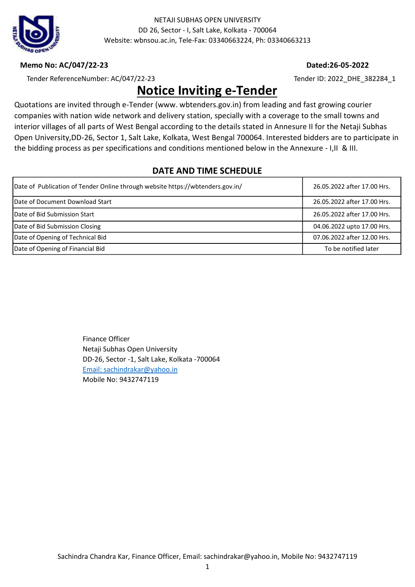

#### Memo No: AC/047/22-23 Dated:26-05-2022

Tender ReferenceNumber: AC/047/22-23 Tender ID: 2022\_DHE\_382284\_1

# Notice Inviting e-Tender

Quotations are invited through e-Tender (www. wbtenders.gov.in) from leading and fast growing courier companies with nation wide network and delivery station, specially with a coverage to the small towns and interior villages of all parts of West Bengal according to the details stated in Annesure II for the Netaji Subhas Open University,DD-26, Sector 1, Salt Lake, Kolkata, West Bengal 700064. Interested bidders are to participate in the bidding process as per specifications and conditions mentioned below in the Annexure - I,II & III.

### DATE AND TIME SCHEDULE

| Date of Publication of Tender Online through website https://wbtenders.gov.in/ | 26.05.2022 after 17.00 Hrs. |
|--------------------------------------------------------------------------------|-----------------------------|
| <b>IDate of Document Download Start</b>                                        | 26.05.2022 after 17.00 Hrs. |
| Date of Bid Submission Start                                                   | 26.05.2022 after 17.00 Hrs. |
| Date of Bid Submission Closing                                                 | 04.06.2022 upto 17.00 Hrs.  |
| Date of Opening of Technical Bid                                               | 07.06.2022 after 12.00 Hrs. |
| Date of Opening of Financial Bid                                               | To be notified later        |

Finance Officer Netaji Subhas Open University DD-26, Sector -1, Salt Lake, Kolkata -700064 Email: sachindrakar@yahoo.in Mobile No: 9432747119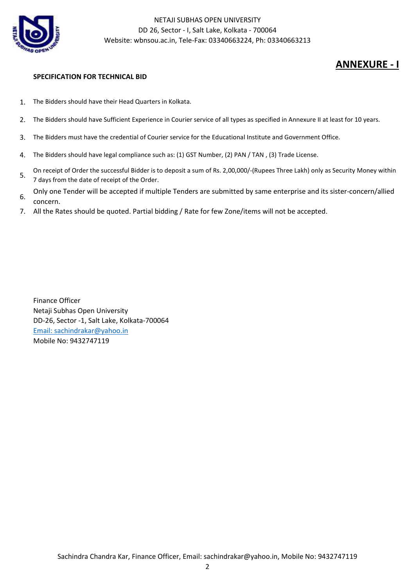

## ANNEXURE - I

#### SPECIFICATION FOR TECHNICAL BID

- 1. The Bidders should have their Head Quarters in Kolkata.
- 2. The Bidders should have Sufficient Experience in Courier service of all types as specified in Annexure II at least for 10 years.
- 3. The Bidders must have the credential of Courier service for the Educational Institute and Government Office.
- 4. The Bidders should have legal compliance such as: (1) GST Number, (2) PAN / TAN , (3) Trade License.
- 5. On receipt of Order the successful Bidder is to deposit a sum of Rs. 2,00,000/-(Rupees Three Lakh) only as Security Money within 7 days from the date of receipt of the Order.
- 6. Only one Tender will be accepted if multiple Tenders are submitted by same enterprise and its sister-concern/allied concern.
- 7. All the Rates should be quoted. Partial bidding / Rate for few Zone/items will not be accepted.

Finance Officer Netaji Subhas Open University DD-26, Sector -1, Salt Lake, Kolkata-700064 Email: sachindrakar@yahoo.in Mobile No: 9432747119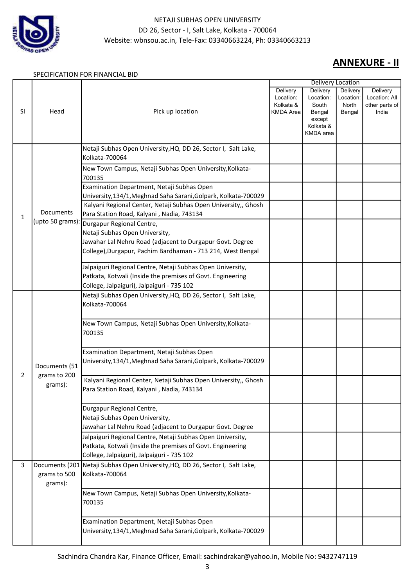

## ANNEXURE - II

#### SPECIFICATION FOR FINANCIAL BID

|           |                         |                                                                                                                                                                        |                                                        | <b>Delivery Location</b>                                        |                                          |                                                      |
|-----------|-------------------------|------------------------------------------------------------------------------------------------------------------------------------------------------------------------|--------------------------------------------------------|-----------------------------------------------------------------|------------------------------------------|------------------------------------------------------|
| <b>SI</b> | Head                    | Pick up location                                                                                                                                                       | Delivery<br>Location:<br>Kolkata &<br><b>KMDA</b> Area | Delivery<br>Location:<br>South<br>Bengal<br>except<br>Kolkata & | Delivery<br>Location:<br>North<br>Bengal | Delivery<br>Location: All<br>other parts of<br>India |
|           |                         |                                                                                                                                                                        |                                                        | <b>KMDA</b> area                                                |                                          |                                                      |
|           |                         | Netaji Subhas Open University, HQ, DD 26, Sector I, Salt Lake,<br>Kolkata-700064                                                                                       |                                                        |                                                                 |                                          |                                                      |
|           |                         | New Town Campus, Netaji Subhas Open University, Kolkata-<br>700135                                                                                                     |                                                        |                                                                 |                                          |                                                      |
|           |                         | Examination Department, Netaji Subhas Open<br>University, 134/1, Meghnad Saha Sarani, Golpark, Kolkata-700029                                                          |                                                        |                                                                 |                                          |                                                      |
| 1         | Documents               | Kalyani Regional Center, Netaji Subhas Open University,, Ghosh<br>Para Station Road, Kalyani, Nadia, 743134                                                            |                                                        |                                                                 |                                          |                                                      |
|           | (upto 50 grams):        | Durgapur Regional Centre,<br>Netaji Subhas Open University,                                                                                                            |                                                        |                                                                 |                                          |                                                      |
|           |                         | Jawahar Lal Nehru Road (adjacent to Durgapur Govt. Degree<br>College), Durgapur, Pachim Bardhaman - 713 214, West Bengal                                               |                                                        |                                                                 |                                          |                                                      |
|           |                         | Jalpaiguri Regional Centre, Netaji Subhas Open University,<br>Patkata, Kotwali (Inside the premises of Govt. Engineering<br>College, Jalpaiguri), Jalpaiguri - 735 102 |                                                        |                                                                 |                                          |                                                      |
|           |                         | Netaji Subhas Open University, HQ, DD 26, Sector I, Salt Lake,<br>Kolkata-700064                                                                                       |                                                        |                                                                 |                                          |                                                      |
|           |                         | New Town Campus, Netaji Subhas Open University, Kolkata-<br>700135                                                                                                     |                                                        |                                                                 |                                          |                                                      |
|           | Documents (51           | Examination Department, Netaji Subhas Open<br>University, 134/1, Meghnad Saha Sarani, Golpark, Kolkata-700029                                                          |                                                        |                                                                 |                                          |                                                      |
| 2         | grams to 200<br>grams): | Kalyani Regional Center, Netaji Subhas Open University,, Ghosh<br>Para Station Road, Kalyani, Nadia, 743134                                                            |                                                        |                                                                 |                                          |                                                      |
|           |                         | Durgapur Regional Centre,<br>Netaji Subhas Open University,<br>Jawahar Lal Nehru Road (adjacent to Durgapur Govt. Degree                                               |                                                        |                                                                 |                                          |                                                      |
|           |                         | Jalpaiguri Regional Centre, Netaji Subhas Open University,<br>Patkata, Kotwali (Inside the premises of Govt. Engineering<br>College, Jalpaiguri), Jalpaiguri - 735 102 |                                                        |                                                                 |                                          |                                                      |
| 3         | grams to 500<br>grams): | Documents (201 Netaji Subhas Open University, HQ, DD 26, Sector I, Salt Lake,<br>Kolkata-700064                                                                        |                                                        |                                                                 |                                          |                                                      |
|           |                         | New Town Campus, Netaji Subhas Open University, Kolkata-<br>700135                                                                                                     |                                                        |                                                                 |                                          |                                                      |
|           |                         | Examination Department, Netaji Subhas Open<br>University, 134/1, Meghnad Saha Sarani, Golpark, Kolkata-700029                                                          |                                                        |                                                                 |                                          |                                                      |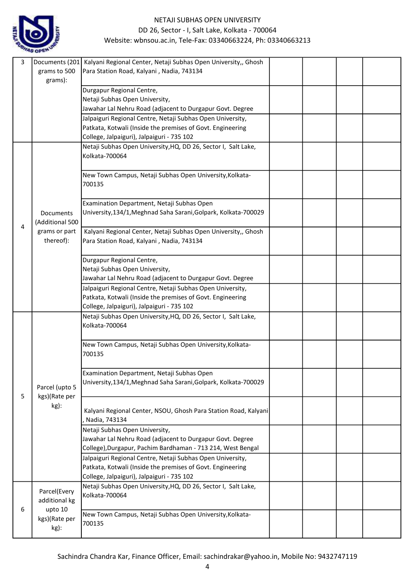

| 3 | Documents (201  | Kalyani Regional Center, Netaji Subhas Open University,, Ghosh                                                           |  |  |
|---|-----------------|--------------------------------------------------------------------------------------------------------------------------|--|--|
|   | grams to 500    | Para Station Road, Kalyani, Nadia, 743134                                                                                |  |  |
|   | grams):         |                                                                                                                          |  |  |
|   |                 | Durgapur Regional Centre,                                                                                                |  |  |
|   |                 | Netaji Subhas Open University,                                                                                           |  |  |
|   |                 | Jawahar Lal Nehru Road (adjacent to Durgapur Govt. Degree                                                                |  |  |
|   |                 | Jalpaiguri Regional Centre, Netaji Subhas Open University,                                                               |  |  |
|   |                 | Patkata, Kotwali (Inside the premises of Govt. Engineering                                                               |  |  |
|   |                 | College, Jalpaiguri), Jalpaiguri - 735 102                                                                               |  |  |
|   |                 | Netaji Subhas Open University, HQ, DD 26, Sector I, Salt Lake,                                                           |  |  |
|   |                 | Kolkata-700064                                                                                                           |  |  |
|   |                 |                                                                                                                          |  |  |
|   |                 | New Town Campus, Netaji Subhas Open University, Kolkata-                                                                 |  |  |
|   |                 | 700135                                                                                                                   |  |  |
|   |                 |                                                                                                                          |  |  |
|   |                 | Examination Department, Netaji Subhas Open                                                                               |  |  |
|   | Documents       | University, 134/1, Meghnad Saha Sarani, Golpark, Kolkata-700029                                                          |  |  |
| 4 | (Additional 500 |                                                                                                                          |  |  |
|   | grams or part   | Kalyani Regional Center, Netaji Subhas Open University,, Ghosh                                                           |  |  |
|   | thereof):       | Para Station Road, Kalyani, Nadia, 743134                                                                                |  |  |
|   |                 |                                                                                                                          |  |  |
|   |                 | Durgapur Regional Centre,                                                                                                |  |  |
|   |                 | Netaji Subhas Open University,                                                                                           |  |  |
|   |                 | Jawahar Lal Nehru Road (adjacent to Durgapur Govt. Degree                                                                |  |  |
|   |                 | Jalpaiguri Regional Centre, Netaji Subhas Open University,                                                               |  |  |
|   |                 | Patkata, Kotwali (Inside the premises of Govt. Engineering<br>College, Jalpaiguri), Jalpaiguri - 735 102                 |  |  |
|   |                 | Netaji Subhas Open University, HQ, DD 26, Sector I, Salt Lake,                                                           |  |  |
|   |                 | Kolkata-700064                                                                                                           |  |  |
|   |                 |                                                                                                                          |  |  |
|   |                 | New Town Campus, Netaji Subhas Open University, Kolkata-                                                                 |  |  |
|   |                 | 700135                                                                                                                   |  |  |
|   |                 |                                                                                                                          |  |  |
|   |                 | Examination Department, Netaji Subhas Open                                                                               |  |  |
|   | Parcel (upto 5  | University, 134/1, Meghnad Saha Sarani, Golpark, Kolkata-700029                                                          |  |  |
| 5 | kgs)(Rate per   |                                                                                                                          |  |  |
|   | kg):            |                                                                                                                          |  |  |
|   |                 | Kalyani Regional Center, NSOU, Ghosh Para Station Road, Kalyani                                                          |  |  |
|   |                 | Nadia, 743134                                                                                                            |  |  |
|   |                 | Netaji Subhas Open University,                                                                                           |  |  |
|   |                 | Jawahar Lal Nehru Road (adjacent to Durgapur Govt. Degree                                                                |  |  |
|   |                 | College), Durgapur, Pachim Bardhaman - 713 214, West Bengal                                                              |  |  |
|   |                 | Jalpaiguri Regional Centre, Netaji Subhas Open University,<br>Patkata, Kotwali (Inside the premises of Govt. Engineering |  |  |
|   |                 | College, Jalpaiguri), Jalpaiguri - 735 102                                                                               |  |  |
|   |                 | Netaji Subhas Open University, HQ, DD 26, Sector I, Salt Lake,                                                           |  |  |
|   | Parcel(Every    | Kolkata-700064                                                                                                           |  |  |
|   | additional kg   |                                                                                                                          |  |  |
| 6 | upto 10         | New Town Campus, Netaji Subhas Open University, Kolkata-                                                                 |  |  |
|   | kgs)(Rate per   | 700135                                                                                                                   |  |  |
|   | kg):            |                                                                                                                          |  |  |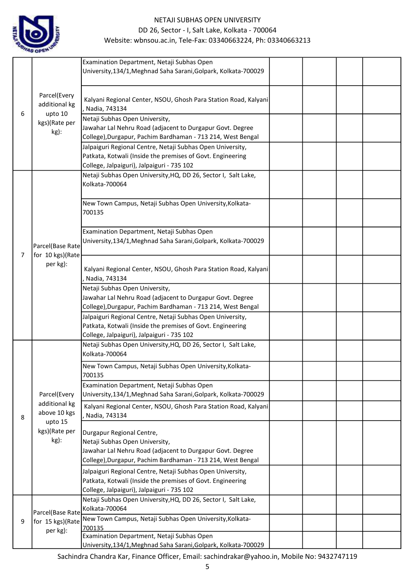

|   |                                                                        | Examination Department, Netaji Subhas Open<br>University, 134/1, Meghnad Saha Sarani, Golpark, Kolkata-700029                                                                           |  |  |
|---|------------------------------------------------------------------------|-----------------------------------------------------------------------------------------------------------------------------------------------------------------------------------------|--|--|
|   | Parcel(Every<br>additional kg<br>upto 10<br>6<br>kgs)(Rate per<br>kg): | Kalyani Regional Center, NSOU, Ghosh Para Station Road, Kalyani<br>, Nadia, 743134                                                                                                      |  |  |
|   |                                                                        | Netaji Subhas Open University,<br>Jawahar Lal Nehru Road (adjacent to Durgapur Govt. Degree<br>College), Durgapur, Pachim Bardhaman - 713 214, West Bengal                              |  |  |
|   |                                                                        | Jalpaiguri Regional Centre, Netaji Subhas Open University,<br>Patkata, Kotwali (Inside the premises of Govt. Engineering<br>College, Jalpaiguri), Jalpaiguri - 735 102                  |  |  |
|   |                                                                        | Netaji Subhas Open University, HQ, DD 26, Sector I, Salt Lake,<br>Kolkata-700064                                                                                                        |  |  |
|   |                                                                        | New Town Campus, Netaji Subhas Open University, Kolkata-<br>700135                                                                                                                      |  |  |
| 7 | Parcel(Base Rate<br>for 10 kgs)(Rate                                   | Examination Department, Netaji Subhas Open<br>University, 134/1, Meghnad Saha Sarani, Golpark, Kolkata-700029                                                                           |  |  |
|   | per kg):                                                               | Kalyani Regional Center, NSOU, Ghosh Para Station Road, Kalyani<br>Nadia, 743134                                                                                                        |  |  |
|   |                                                                        | Netaji Subhas Open University,<br>Jawahar Lal Nehru Road (adjacent to Durgapur Govt. Degree<br>College), Durgapur, Pachim Bardhaman - 713 214, West Bengal                              |  |  |
|   |                                                                        | Jalpaiguri Regional Centre, Netaji Subhas Open University,<br>Patkata, Kotwali (Inside the premises of Govt. Engineering<br>College, Jalpaiguri), Jalpaiguri - 735 102                  |  |  |
|   |                                                                        | Netaji Subhas Open University, HQ, DD 26, Sector I, Salt Lake,<br>Kolkata-700064                                                                                                        |  |  |
|   |                                                                        | New Town Campus, Netaji Subhas Open University, Kolkata-<br>700135                                                                                                                      |  |  |
|   | Parcel(Every                                                           | Examination Department, Netaji Subhas Open<br>University, 134/1, Meghnad Saha Sarani, Golpark, Kolkata-700029                                                                           |  |  |
| 8 | additional kg<br>above 10 kgs<br>upto 15                               | Kalyani Regional Center, NSOU, Ghosh Para Station Road, Kalyani<br>Nadia, 743134                                                                                                        |  |  |
|   | kgs)(Rate per<br>kg):                                                  | Durgapur Regional Centre,<br>Netaji Subhas Open University,<br>Jawahar Lal Nehru Road (adjacent to Durgapur Govt. Degree<br>College), Durgapur, Pachim Bardhaman - 713 214, West Bengal |  |  |
|   |                                                                        | Jalpaiguri Regional Centre, Netaji Subhas Open University,<br>Patkata, Kotwali (Inside the premises of Govt. Engineering<br>College, Jalpaiguri), Jalpaiguri - 735 102                  |  |  |
|   | Parcel(Base Rate                                                       | Netaji Subhas Open University, HQ, DD 26, Sector I, Salt Lake,<br>Kolkata-700064                                                                                                        |  |  |
| 9 | for 15 kgs)(Rate<br>per kg):                                           | New Town Campus, Netaji Subhas Open University, Kolkata-<br>700135                                                                                                                      |  |  |
|   |                                                                        | Examination Department, Netaji Subhas Open<br>University, 134/1, Meghnad Saha Sarani, Golpark, Kolkata-700029                                                                           |  |  |

Sachindra Chandra Kar, Finance Officer, Email: sachindrakar@yahoo.in, Mobile No: 9432747119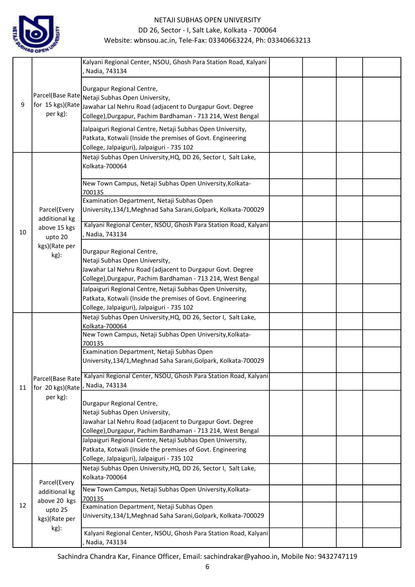

|    |                               | Kalyani Regional Center, NSOU, Ghosh Para Station Road, Kalyani<br>Nadia, 743134                                         |  |  |
|----|-------------------------------|--------------------------------------------------------------------------------------------------------------------------|--|--|
|    |                               |                                                                                                                          |  |  |
|    |                               | Durgapur Regional Centre,                                                                                                |  |  |
| 9  | for 15 kgs)(Rate              | Parcel(Base Rate Netaji Subhas Open University,                                                                          |  |  |
|    | per kg):                      | Jawahar Lal Nehru Road (adjacent to Durgapur Govt. Degree                                                                |  |  |
|    |                               | College), Durgapur, Pachim Bardhaman - 713 214, West Bengal                                                              |  |  |
|    |                               | Jalpaiguri Regional Centre, Netaji Subhas Open University,                                                               |  |  |
|    |                               | Patkata, Kotwali (Inside the premises of Govt. Engineering                                                               |  |  |
|    |                               | College, Jalpaiguri), Jalpaiguri - 735 102                                                                               |  |  |
|    |                               | Netaji Subhas Open University, HQ, DD 26, Sector I, Salt Lake,                                                           |  |  |
|    |                               | Kolkata-700064                                                                                                           |  |  |
|    |                               | New Town Campus, Netaji Subhas Open University, Kolkata-                                                                 |  |  |
|    |                               | 700135                                                                                                                   |  |  |
|    |                               | Examination Department, Netaji Subhas Open                                                                               |  |  |
|    | Parcel(Every                  | University, 134/1, Meghnad Saha Sarani, Golpark, Kolkata-700029                                                          |  |  |
|    | additional kg<br>above 15 kgs |                                                                                                                          |  |  |
| 10 |                               | Kalyani Regional Center, NSOU, Ghosh Para Station Road, Kalyani                                                          |  |  |
|    | upto 20                       | , Nadia, 743134                                                                                                          |  |  |
|    | kgs)(Rate per                 | Durgapur Regional Centre,                                                                                                |  |  |
|    | kg):                          | Netaji Subhas Open University,                                                                                           |  |  |
|    |                               | Jawahar Lal Nehru Road (adjacent to Durgapur Govt. Degree                                                                |  |  |
|    |                               | College), Durgapur, Pachim Bardhaman - 713 214, West Bengal                                                              |  |  |
|    |                               | Jalpaiguri Regional Centre, Netaji Subhas Open University,                                                               |  |  |
|    |                               | Patkata, Kotwali (Inside the premises of Govt. Engineering                                                               |  |  |
|    |                               | College, Jalpaiguri), Jalpaiguri - 735 102                                                                               |  |  |
|    |                               | Netaji Subhas Open University, HQ, DD 26, Sector I, Salt Lake,                                                           |  |  |
|    |                               | Kolkata-700064                                                                                                           |  |  |
|    |                               | New Town Campus, Netaji Subhas Open University, Kolkata-                                                                 |  |  |
|    |                               | 700135<br>Examination Department, Netaji Subhas Open                                                                     |  |  |
|    |                               | University, 134/1, Meghnad Saha Sarani, Golpark, Kolkata-700029                                                          |  |  |
|    |                               |                                                                                                                          |  |  |
|    | Parcel(Base Rate              | Kalyani Regional Center, NSOU, Ghosh Para Station Road, Kalyani                                                          |  |  |
| 11 | for 20 kgs)(Rate              | Nadia, 743134                                                                                                            |  |  |
|    | per kg):                      |                                                                                                                          |  |  |
|    |                               | Durgapur Regional Centre,                                                                                                |  |  |
|    |                               | Netaji Subhas Open University,                                                                                           |  |  |
|    |                               | Jawahar Lal Nehru Road (adjacent to Durgapur Govt. Degree<br>College), Durgapur, Pachim Bardhaman - 713 214, West Bengal |  |  |
|    |                               | Jalpaiguri Regional Centre, Netaji Subhas Open University,                                                               |  |  |
|    |                               | Patkata, Kotwali (Inside the premises of Govt. Engineering                                                               |  |  |
|    |                               | College, Jalpaiguri), Jalpaiguri - 735 102                                                                               |  |  |
|    |                               | Netaji Subhas Open University, HQ, DD 26, Sector I, Salt Lake,                                                           |  |  |
|    |                               | Kolkata-700064                                                                                                           |  |  |
|    | Parcel(Every                  | New Town Campus, Netaji Subhas Open University, Kolkata-                                                                 |  |  |
|    | additional kg                 | 700135                                                                                                                   |  |  |
| 12 | above 20 kgs<br>upto 25       | Examination Department, Netaji Subhas Open                                                                               |  |  |
|    | kgs)(Rate per                 | University, 134/1, Meghnad Saha Sarani, Golpark, Kolkata-700029                                                          |  |  |
|    | kg):                          |                                                                                                                          |  |  |
|    |                               | Kalyani Regional Center, NSOU, Ghosh Para Station Road, Kalyani                                                          |  |  |
|    |                               | Nadia, 743134                                                                                                            |  |  |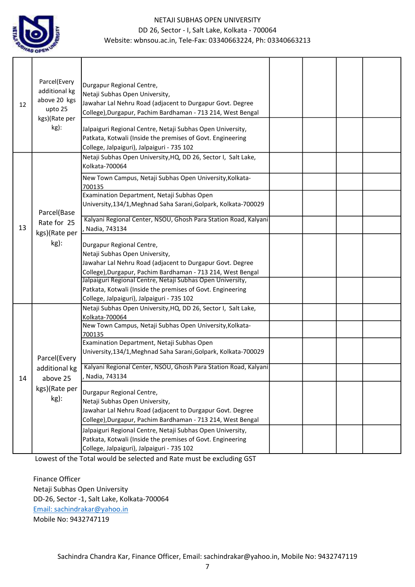

| 12 | Parcel(Every<br>additional kg<br>above 20 kgs<br>upto 25<br>kgs)(Rate per<br>kg): | Durgapur Regional Centre,<br>Netaji Subhas Open University,<br>Jawahar Lal Nehru Road (adjacent to Durgapur Govt. Degree<br>College), Durgapur, Pachim Bardhaman - 713 214, West Bengal<br>Jalpaiguri Regional Centre, Netaji Subhas Open University,<br>Patkata, Kotwali (Inside the premises of Govt. Engineering<br>College, Jalpaiguri), Jalpaiguri - 735 102 |  |  |
|----|-----------------------------------------------------------------------------------|-------------------------------------------------------------------------------------------------------------------------------------------------------------------------------------------------------------------------------------------------------------------------------------------------------------------------------------------------------------------|--|--|
|    |                                                                                   | Netaji Subhas Open University, HQ, DD 26, Sector I, Salt Lake,<br>Kolkata-700064                                                                                                                                                                                                                                                                                  |  |  |
|    | Parcel(Base                                                                       | New Town Campus, Netaji Subhas Open University, Kolkata-<br>700135<br>Examination Department, Netaji Subhas Open<br>University, 134/1, Meghnad Saha Sarani, Golpark, Kolkata-700029                                                                                                                                                                               |  |  |
| 13 | Rate for 25<br>kgs)(Rate per<br>$kg)$ :                                           | Kalyani Regional Center, NSOU, Ghosh Para Station Road, Kalyani<br>Nadia, 743134                                                                                                                                                                                                                                                                                  |  |  |
|    |                                                                                   | Durgapur Regional Centre,<br>Netaji Subhas Open University,<br>Jawahar Lal Nehru Road (adjacent to Durgapur Govt. Degree<br>College), Durgapur, Pachim Bardhaman - 713 214, West Bengal                                                                                                                                                                           |  |  |
|    |                                                                                   | Jalpaiguri Regional Centre, Netaji Subhas Open University,<br>Patkata, Kotwali (Inside the premises of Govt. Engineering<br>College, Jalpaiguri), Jalpaiguri - 735 102                                                                                                                                                                                            |  |  |
|    |                                                                                   | Netaji Subhas Open University, HQ, DD 26, Sector I, Salt Lake,<br>Kolkata-700064                                                                                                                                                                                                                                                                                  |  |  |
|    |                                                                                   | New Town Campus, Netaji Subhas Open University, Kolkata-<br>700135<br>Examination Department, Netaji Subhas Open                                                                                                                                                                                                                                                  |  |  |
|    | Parcel(Every                                                                      | University, 134/1, Meghnad Saha Sarani, Golpark, Kolkata-700029                                                                                                                                                                                                                                                                                                   |  |  |
| 14 | above 25                                                                          | additional kg   Kalyani Regional Center, NSOU, Ghosh Para Station Road, Kalyani<br>, Nadia, 743134                                                                                                                                                                                                                                                                |  |  |
|    | kgs)(Rate per<br>kg):                                                             | Durgapur Regional Centre,<br>Netaji Subhas Open University,<br>Jawahar Lal Nehru Road (adjacent to Durgapur Govt. Degree<br>College), Durgapur, Pachim Bardhaman - 713 214, West Bengal                                                                                                                                                                           |  |  |
|    |                                                                                   | Jalpaiguri Regional Centre, Netaji Subhas Open University,<br>Patkata, Kotwali (Inside the premises of Govt. Engineering<br>College, Jalpaiguri), Jalpaiguri - 735 102                                                                                                                                                                                            |  |  |

Lowest of the Total would be selected and Rate must be excluding GST

Finance Officer Netaji Subhas Open University DD-26, Sector -1, Salt Lake, Kolkata-700064 Email: sachindrakar@yahoo.in Mobile No: 9432747119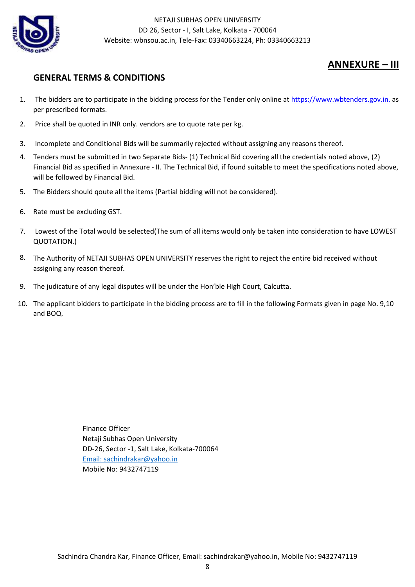

## ANNEXURE – III

## GENERAL TERMS & CONDITIONS

- 1. The bidders are to participate in the bidding process for the Tender only online at https://www.wbtenders.gov.in. as per prescribed formats.
- 2. Price shall be quoted in INR only. vendors are to quote rate per kg.
- 3. Incomplete and Conditional Bids will be summarily rejected without assigning any reasons thereof.
- 4. Tenders must be submitted in two Separate Bids- (1) Technical Bid covering all the credentials noted above, (2) Financial Bid as specified in Annexure - II. The Technical Bid, if found suitable to meet the specifications noted above, will be followed by Financial Bid.
- 5. The Bidders should qoute all the items (Partial bidding will not be considered).
- 6. Rate must be excluding GST.
- 7. Lowest of the Total would be selected(The sum of all items would only be taken into consideration to have LOWEST QUOTATION.)
- 8. The Authority of NETAJI SUBHAS OPEN UNIVERSITY reserves the right to reject the entire bid received without assigning any reason thereof.
- 9. The judicature of any legal disputes will be under the Hon'ble High Court, Calcutta.
- 10. The applicant bidders to participate in the bidding process are to fill in the following Formats given in page No. 9,10 and BOQ.

Finance Officer Netaji Subhas Open University DD-26, Sector -1, Salt Lake, Kolkata-700064 Email: sachindrakar@yahoo.in Mobile No: 9432747119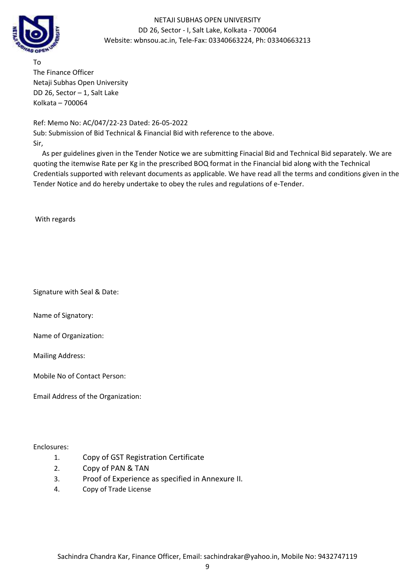

To The Finance Officer Netaji Subhas Open University DD 26, Sector – 1, Salt Lake Kolkata – 700064

Ref: Memo No: AC/047/22-23 Dated: 26-05-2022 Sub: Submission of Bid Technical & Financial Bid with reference to the above. Sir,

 As per guidelines given in the Tender Notice we are submitting Finacial Bid and Technical Bid separately. We are quoting the itemwise Rate per Kg in the prescribed BOQ format in the Financial bid along with the Technical Credentials supported with relevant documents as applicable. We have read all the terms and conditions given in the Tender Notice and do hereby undertake to obey the rules and regulations of e-Tender.

With regards

Signature with Seal & Date:

Name of Signatory:

Name of Organization:

Mailing Address:

Mobile No of Contact Person:

Email Address of the Organization:

Enclosures:

- 1. Copy of GST Registration Certificate
- 2. Copy of PAN & TAN
- 3. Proof of Experience as specified in Annexure II.
- 4. Copy of Trade License